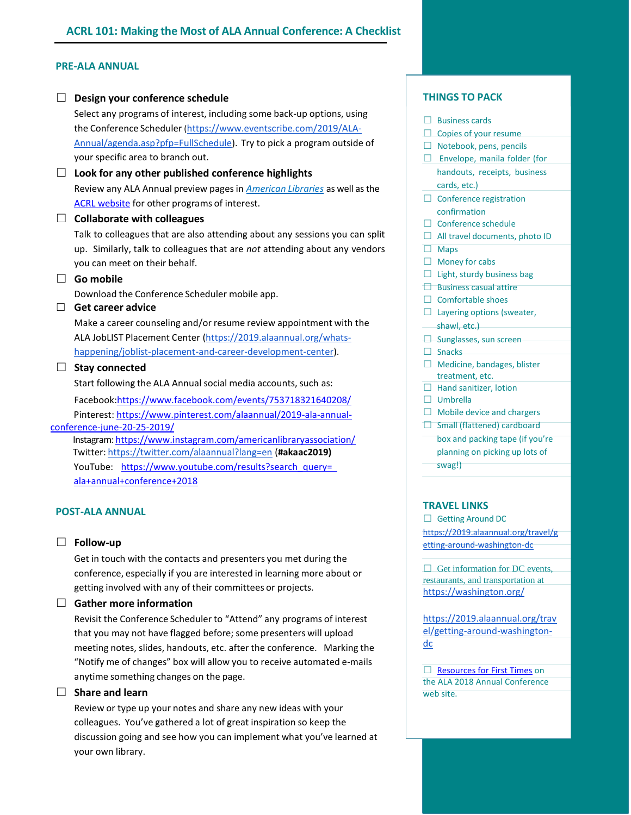## **PRE-ALA ANNUAL**

|   | Design your conference schedule                                                                                                                                                                                                                                                                                                                                                                                                                                                                                                                  |   | <b>THINGS TO PACK</b>                                                                                                                                                                                                                                    |
|---|--------------------------------------------------------------------------------------------------------------------------------------------------------------------------------------------------------------------------------------------------------------------------------------------------------------------------------------------------------------------------------------------------------------------------------------------------------------------------------------------------------------------------------------------------|---|----------------------------------------------------------------------------------------------------------------------------------------------------------------------------------------------------------------------------------------------------------|
|   | Select any programs of interest, including some back-up options, using<br>the Conference Scheduler (https://www.eventscribe.com/2019/ALA-<br>Annual/agenda.asp?pfp=FullSchedule). Try to pick a program outside of<br>your specific area to branch out.                                                                                                                                                                                                                                                                                          |   | <b>Business cards</b><br>Copies of your resume<br>Notebook, pens, pencils<br>Envelope, manila folder (for                                                                                                                                                |
|   | Look for any other published conference highlights<br>Review any ALA Annual preview pages in <b>American Libraries</b> as well as the<br>ACRL website for other programs of interest.<br><b>Collaborate with colleagues</b><br>Talk to colleagues that are also attending about any sessions you can split<br>up. Similarly, talk to colleagues that are not attending about any vendors                                                                                                                                                         |   | handouts, receipts, business<br>cards, etc.)<br>Conference registration<br>confirmation<br>Conference schedule<br>All travel documents, photo ID<br><b>Maps</b>                                                                                          |
| П | you can meet on their behalf.<br>Go mobile<br>Download the Conference Scheduler mobile app.<br>Get career advice<br>Make a career counseling and/or resume review appointment with the<br>ALA JobLIST Placement Center (https://2019.alaannual.org/whats-                                                                                                                                                                                                                                                                                        |   | Money for cabs<br>Light, sturdy business bag<br><b>Business casual attire</b><br><b>Comfortable shoes</b><br>Layering options (sweater,<br>shawl, etc.)<br>Sunglasses, sun screen                                                                        |
|   | happening/joblist-placement-and-career-development-center).<br><b>Stay connected</b><br>Start following the ALA Annual social media accounts, such as:<br>Facebook:https://www.facebook.com/events/753718321640208/<br>Pinterest: https://www.pinterest.com/alaannual/2019-ala-annual-<br>conference-june-20-25-2019/<br>Instagram: https://www.instagram.com/americanlibraryassociation/<br>Twitter: https://twitter.com/alaannual?lang=en (#akaac2019)<br>YouTube: https://www.youtube.com/results?search query=<br>ala+annual+conference+2018 | П | <b>Snacks</b><br>Medicine, bandages, blister<br>treatment, etc.<br>$\Box$ Hand sanitizer, lotion<br>Umbrella<br>Mobile device and chargers<br>Small (flattened) cardboard<br>box and packing tape (if you're<br>planning on picking up lots of<br>swag!) |
|   |                                                                                                                                                                                                                                                                                                                                                                                                                                                                                                                                                  |   |                                                                                                                                                                                                                                                          |

# **POST-ALA ANNUAL**

## ☐ **Follow-up**

Get in touch with the contacts and presenters you met during the conference, especially if you are interested in learning more about or getting involved with any of their committees or projects.

#### ☐ **Gather more information**

Revisit the Conference Scheduler to "Attend" any programs of interest that you may not have flagged before; some presenters will upload meeting notes, slides, handouts, etc. after the conference. Marking the "Notify me of changes" box will allow you to receive automated e-mails anytime something changes on the page.

### ☐ **Share and learn**

Review or type up your notes and share any new ideas with your colleagues. You've gathered a lot of great inspiration so keep the discussion going and see how you can implement what you've learned at your own library.

- □ Envelope, manila folder (for handouts, receipts, business
- 

- 
- 
- u're planning on picking up lots of

#### **TRAVEL LINKS**

□ Getting Around DC [https://2019.alaannual.org/travel/g](https://2019.alaannual.org/travel/getting-around-washington-dc) [etting-around-washington-dc](https://2019.alaannual.org/travel/getting-around-washington-dc)

 $\Box$  Get information for DC events, restaurants, and transportation at <https://washington.org/>

[https://2019.alaannual.org/trav](https://2019.alaannual.org/travel/getting-around-washington-dc) [el/getting-around-washington](https://2019.alaannual.org/travel/getting-around-washington-dc)[dc](https://2019.alaannual.org/travel/getting-around-washington-dc)

□ [Resources for First Times](https://2019.alaannual.org/resources-first-timers) on the ALA 2018 Annual Conference web site.